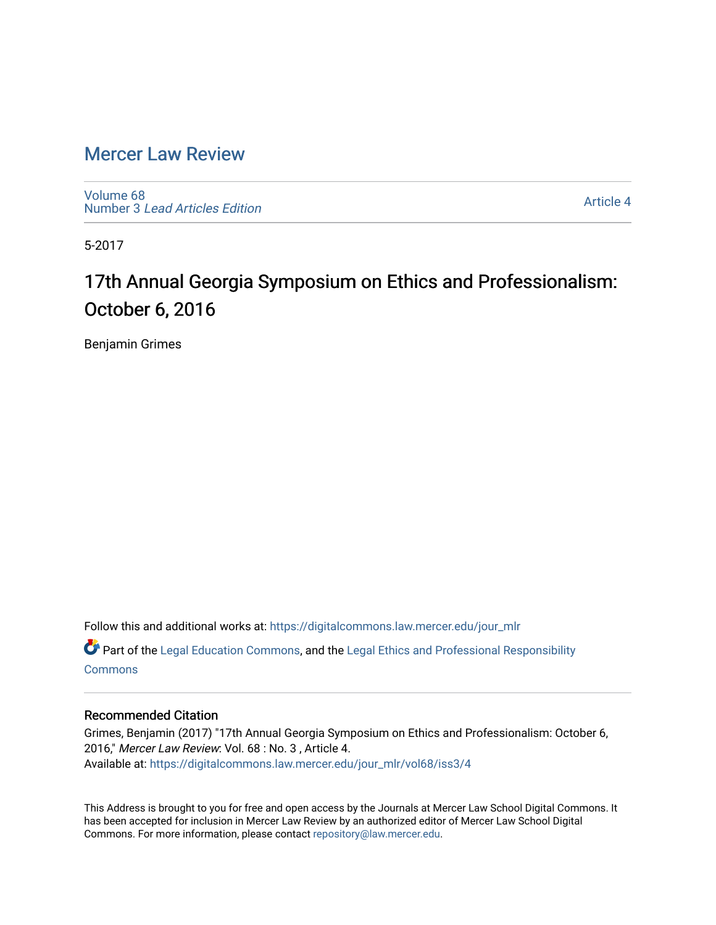### [Mercer Law Review](https://digitalcommons.law.mercer.edu/jour_mlr)

[Volume 68](https://digitalcommons.law.mercer.edu/jour_mlr/vol68) Number 3 [Lead Articles Edition](https://digitalcommons.law.mercer.edu/jour_mlr/vol68/iss3)

[Article 4](https://digitalcommons.law.mercer.edu/jour_mlr/vol68/iss3/4) 

5-2017

## 17th Annual Georgia Symposium on Ethics and Professionalism: October 6, 2016

Benjamin Grimes

Follow this and additional works at: [https://digitalcommons.law.mercer.edu/jour\\_mlr](https://digitalcommons.law.mercer.edu/jour_mlr?utm_source=digitalcommons.law.mercer.edu%2Fjour_mlr%2Fvol68%2Fiss3%2F4&utm_medium=PDF&utm_campaign=PDFCoverPages) Part of the [Legal Education Commons,](http://network.bepress.com/hgg/discipline/857?utm_source=digitalcommons.law.mercer.edu%2Fjour_mlr%2Fvol68%2Fiss3%2F4&utm_medium=PDF&utm_campaign=PDFCoverPages) and the [Legal Ethics and Professional Responsibility](http://network.bepress.com/hgg/discipline/895?utm_source=digitalcommons.law.mercer.edu%2Fjour_mlr%2Fvol68%2Fiss3%2F4&utm_medium=PDF&utm_campaign=PDFCoverPages)

**[Commons](http://network.bepress.com/hgg/discipline/895?utm_source=digitalcommons.law.mercer.edu%2Fjour_mlr%2Fvol68%2Fiss3%2F4&utm_medium=PDF&utm_campaign=PDFCoverPages)** 

#### Recommended Citation

Grimes, Benjamin (2017) "17th Annual Georgia Symposium on Ethics and Professionalism: October 6, 2016," Mercer Law Review: Vol. 68 : No. 3 , Article 4. Available at: [https://digitalcommons.law.mercer.edu/jour\\_mlr/vol68/iss3/4](https://digitalcommons.law.mercer.edu/jour_mlr/vol68/iss3/4?utm_source=digitalcommons.law.mercer.edu%2Fjour_mlr%2Fvol68%2Fiss3%2F4&utm_medium=PDF&utm_campaign=PDFCoverPages)

This Address is brought to you for free and open access by the Journals at Mercer Law School Digital Commons. It has been accepted for inclusion in Mercer Law Review by an authorized editor of Mercer Law School Digital Commons. For more information, please contact [repository@law.mercer.edu.](mailto:repository@law.mercer.edu)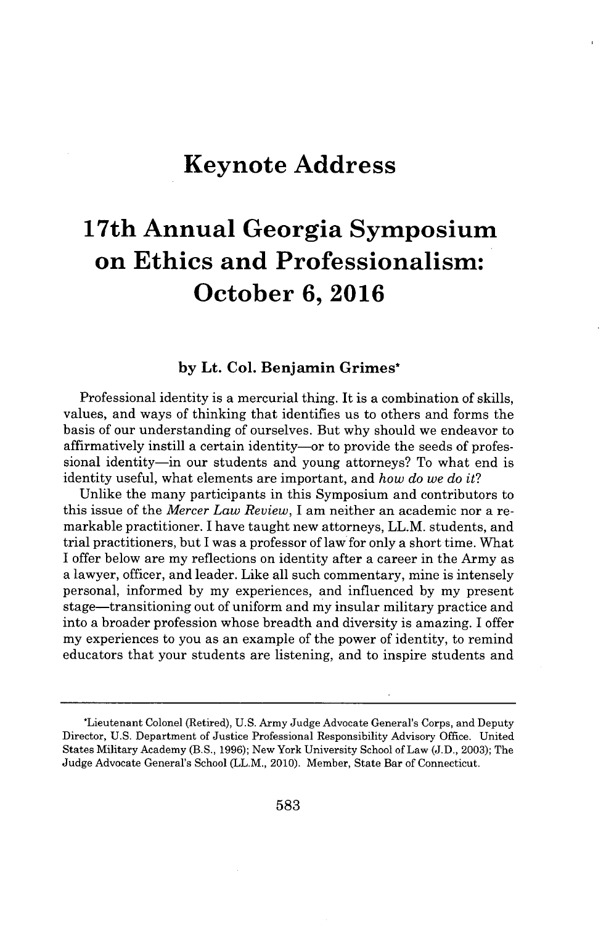## **Keynote Address**

# **17th Annual Georgia Symposium on Ethics and Professionalism: October 6, 2016**

#### **by Lt. Col. Benjamin Grimes\***

Professional identity is a mercurial thing. It is a combination of skills, values, and ways of thinking that identifies us to others and forms the basis of our understanding of ourselves. But why should we endeavor to affirmatively instill a certain identity—or to provide the seeds of professional identity—in our students and young attorneys? To what end is identity useful, what elements are important, and *how do we do it?*

Unlike the many participants in this Symposium and contributors to this issue of the *Mercer Law Review,* **I** am neither an academic nor a remarkable practitioner. I have taught new attorneys, LL.M. students, and trial practitioners, but **I** was a professor of law for only a short time. What **I** offer below are my reflections on identity after a career in the Army as a lawyer, officer, and leader. Like all such commentary, mine is intensely personal, informed **by** my experiences, and influenced **by** my present stage-transitioning out of uniform and my insular military practice and into a broader profession whose breadth and diversity is amazing. I offer my experiences to you as an example of the power of identity, to remind educators that your students are listening, and to inspire students and

<sup>\*</sup>Lieutenant Colonel (Retired), **U.S.** Army Judge Advocate General's Corps, and Deputy Director, **U.S.** Department of Justice Professional Responsibility Advisory Office. United States Military Academy (B.S., **1996);** New York University School of Law **(J.D., 2003);** The Judge Advocate General's School (LL.M., 2010). Member, State Bar of Connecticut.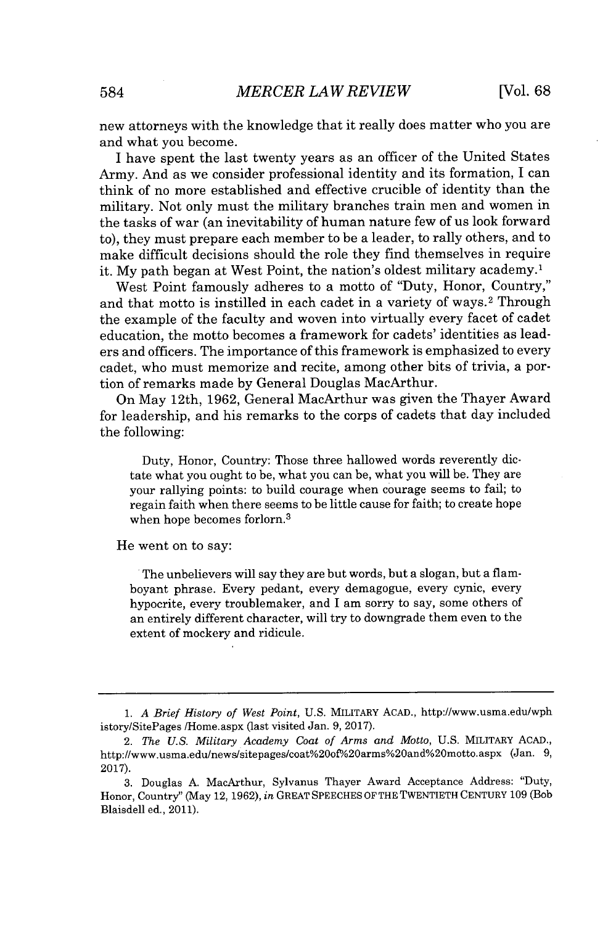new attorneys with the knowledge that it really does matter who you are and what you become.

I have spent the last twenty years as an officer of the United States Army. And as we consider professional identity and its formation, **I** can think of no more established and effective crucible of identity than the military. Not only must the military branches train men and women in the tasks of war (an inevitability of human nature few of us look forward to), they must prepare each member to be a leader, to rally others, and to make difficult decisions should the role they find themselves in require it. **My** path began at West Point, the nation's oldest military academy.'

West Point famously adheres to a motto of "Duty, Honor, Country," and that motto is instilled in each cadet in a variety of ways.<sup>2</sup> Through the example of the faculty and woven into virtually every facet of cadet education, the motto becomes a framework for cadets' identities as leaders and officers. The importance of this framework is emphasized to every cadet, who must memorize and recite, among other bits of trivia, a portion of remarks made **by** General Douglas MacArthur.

On May 12th, **1962,** General MacArthur was given the Thayer Award for leadership, and his remarks to the corps of cadets that day included the following:

Duty, Honor, Country: Those three hallowed words reverently dictate what you ought to be, what you can be, what you will be. They are your rallying points: to build courage when courage seems to fail; to regain faith when there seems to be little cause for faith; to create hope when hope becomes forlorn.<sup>3</sup>

He went on to say:

The unbelievers will say they are but words, but a slogan, but a flamboyant phrase. Every pedant, every demagogue, every cynic, every hypocrite, every troublemaker, and I am sorry to say, some others of an entirely different character, will try to downgrade them even to the extent of mockery and ridicule.

**<sup>1.</sup>** *A Brief History of West Point,* **U.S.** MILITARY **ACAD.,** http://www.usma.edu/wph istory/SitePages /Home.aspx (last visited Jan. **9, 2017).**

<sup>2.</sup> *The U.S. Military Academy Coat of Arms and Motto,* **U.S.** MILITARY AcAD., http://www.usma.edu/news/sitepages/coat%200f% <sup>2</sup> 0arms%<sup>2</sup> 0and%<sup>2</sup> 0motto.aspx (Jan. **9, 2017).**

**<sup>3.</sup>** Douglas **A.** MacArthur, Sylvanus Thayer Award Acceptance Address: "Duty, Honor, Country" (May 12, **1962),** *in* GREAT **SPEECHES** OF THE TWENTIETH **CENTURY 109** (Bob Blaisdell ed., 2011).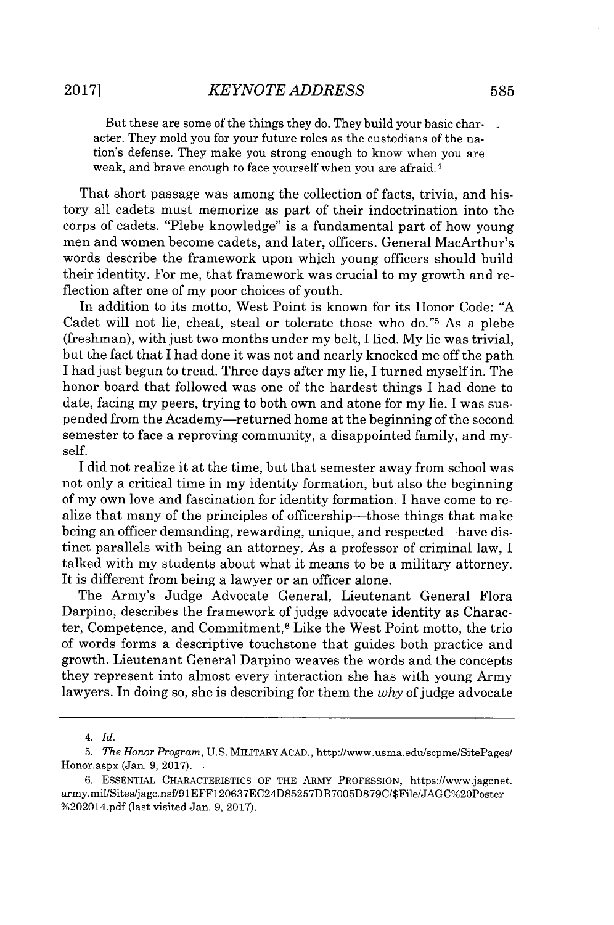But these are some of the things they do. They build your basic char- $\mathbb{R}$ acter. They mold you for your future roles as the custodians of the nation's defense. They make you strong enough to know when you are weak, and brave enough to face yourself when you are afraid.<sup>4</sup>

That short passage was among the collection of facts, trivia, and history all cadets must memorize as part of their indoctrination into the corps of cadets. "Plebe knowledge" is a fundamental part of how young men and women become cadets, and later, officers. General MacArthur's words describe the framework upon which young officers should build their identity. For me, that framework was crucial to my growth and reflection after one of my poor choices of youth.

In addition to its motto, West Point is known for its Honor Code: **"A** Cadet will not lie, cheat, steal or tolerate those who do."<sup>5</sup> As a plebe (freshman), with just two months under my belt, I lied. **My** lie was trivial, but the fact that **I** had done it was not and nearly knocked me off the path **I** had just begun to tread. Three days after my lie, **I** turned myself in. The honor board that followed was one of the hardest things **I** had done to date, facing my peers, trying to both own and atone for my lie. **I** was suspended from the Academy-returned home at the beginning of the second semester to face a reproving community, a disappointed family, and myself.

**I** did not realize it at the time, but that semester away from school was not only a critical time in my identity formation, but also the beginning of my own love and fascination for identity formation. I have come to realize that many of the principles of officership-those things that make being an officer demanding, rewarding, unique, and respected—have distinct parallels with being an attorney. As a professor of criminal law, I talked with my students about what it means to be a military attorney, It is different from being a lawyer or an officer alone.

The Army's Judge Advocate General, Lieutenant General Flora Darpino, describes the framework of judge advocate identity as Character, Competence, and Commitment.<sup>6</sup>Like the West Point motto, the trio of words forms a descriptive touchstone that guides both practice and growth. Lieutenant General Darpino weaves the words and the concepts they represent into almost every interaction she has with young Army lawyers. In doing so, she is describing for them the *why* of judge advocate

*<sup>4.</sup> Id.*

*<sup>5.</sup> The Honor Program,* **U.S.** MILITARYAAD., http://www.usma.edu/scpme/SitePages/ Honor.aspx (Jan. *9,* **2017).**

**<sup>6.</sup> ESSENTIAL** CHARACTERISTICS OF THE ARMY **PROFESSION,** https://www.jagcnet. army.mil/Sites/jagc.nsfl91EFF120637EC24D85257DB7005D879C/\$File/JAGC%2OPoster **%202014.pdf** (last visited Jan. *9,* **2017).**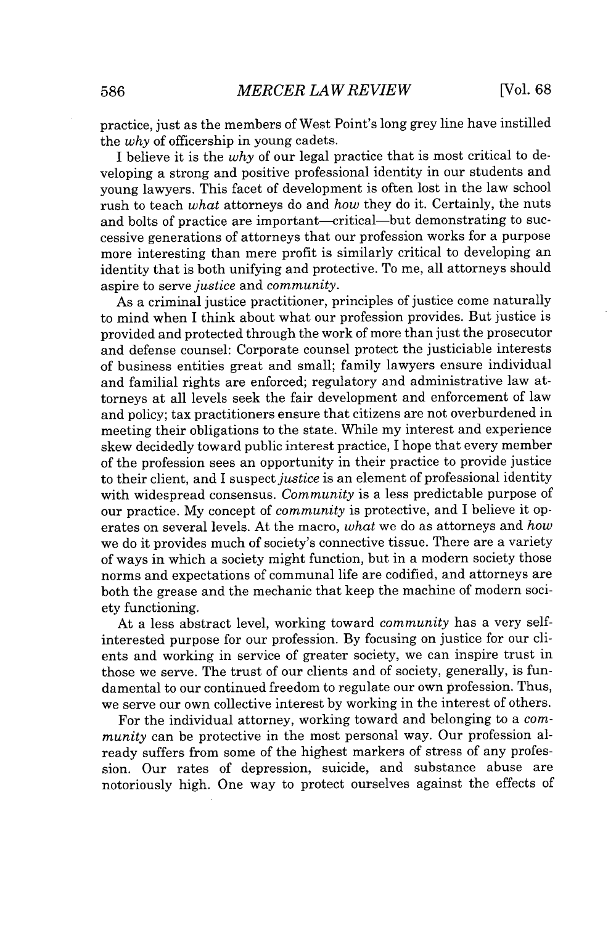practice, just as the members of West Point's long grey line have instilled the *why* of officership in young cadets.

**I** believe it is the *why* of our legal practice that is most critical to developing a strong and positive professional identity in our students and young lawyers. This facet of development is often lost in the law school rush to teach *what* attorneys do and *how* they do it. Certainly, the nuts and bolts of practice are important-critical-but demonstrating to successive generations of attorneys that our profession works for a purpose more interesting than mere profit is similarly critical to developing an identity that is both unifying and protective. To me, all attorneys should aspire to serve *justice* and *community.*

As a criminal justice practitioner, principles of justice come naturally to mind when **I** think about what our profession provides. But justice is provided and protected through the work of more than just the prosecutor and defense counsel: Corporate counsel protect the justiciable interests of business entities great and small; family lawyers ensure individual and familial rights are enforced; regulatory and administrative law attorneys at all levels seek the fair development and enforcement of law and policy; tax practitioners ensure that citizens are not overburdened in meeting their obligations to the state. While my interest and experience skew decidedly toward public interest practice, I hope that every member of the profession sees an opportunity in their practice to provide justice to their client, and **I** suspect *justice* is an element of professional identity with widespread consensus. *Community* is a less predictable purpose of our practice. **My** concept of *community* is protective, and **I** believe it operates on several levels. At the macro, *what* we do as attorneys and *how* we do it provides much of society's connective tissue. There are a variety of ways in which a society might function, but in a modern society those norms and expectations of communal life are codified, and attorneys are both the grease and the mechanic that keep the machine of modern society functioning.

At a less abstract level, working toward *community* has a very selfinterested purpose for our profession. **By** focusing on justice for our clients and working in service of greater society, we can inspire trust in those we serve. The trust of our clients and of society, generally, is fundamental to our continued freedom to regulate our own profession. Thus, we serve our own collective interest **by** working in the interest of others.

For the individual attorney, working toward and belonging to a *community* can be protective in the most personal way. Our profession already suffers from some of the highest markers of stress of any profession. Our rates of depression, suicide, and substance abuse are notoriously high. One way to protect ourselves against the effects of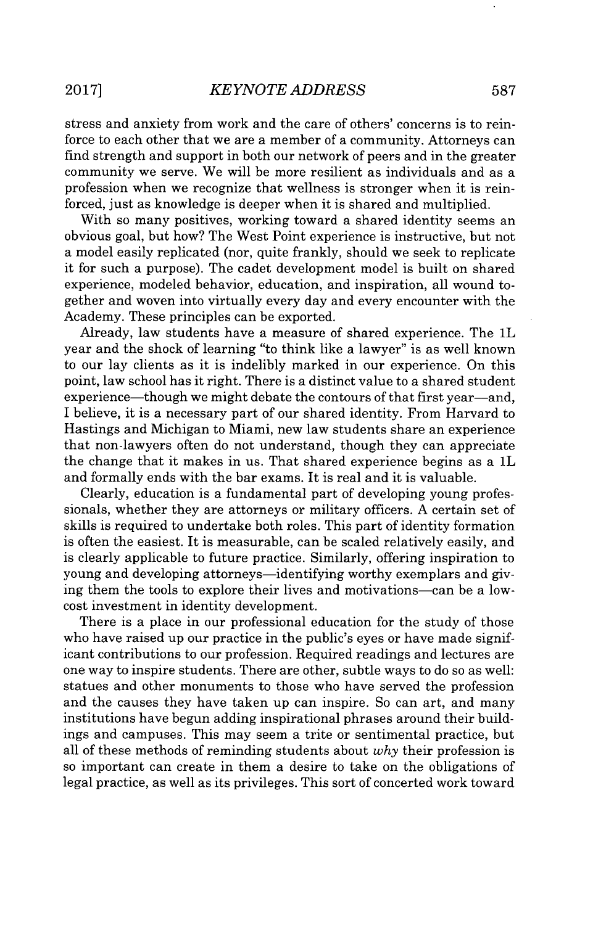stress and anxiety from work and the care of others' concerns is to reinforce to each other that we are a member of a community. Attorneys can find strength and support in both our network of peers and in the greater community we serve. We will be more resilient as individuals and as a profession when we recognize that wellness is stronger when it is reinforced, just as knowledge is deeper when it is shared and multiplied.

With so many positives, working toward a shared identity seems an obvious goal, but how? The West Point experience is instructive, but not a model easily replicated (nor, quite frankly, should we seek to replicate it for such a purpose). The cadet development model is built on shared experience, modeled behavior, education, and inspiration, all wound together and woven into virtually every day and every encounter with the Academy. These principles can be exported.

Already, law students have a measure of shared experience. The 1L year and the shock of learning "to think like a lawyer" is as well known to our lay clients as it is indelibly marked in our experience. On this point, law school has it right. There is a distinct value to a shared student experience—though we might debate the contours of that first year—and, I believe, it is a necessary part of our shared identity. From Harvard to Hastings and Michigan to Miami, new law students share an experience that non-lawyers often do not understand, though they can appreciate the change that it makes in us. That shared experience begins as a 1L and formally ends with the bar exams. It is real and it is valuable.

Clearly, education is a fundamental part of developing young professionals, whether they are attorneys or military officers. **A** certain set of skills is required to undertake both roles. This part of identity formation is often the easiest. It is measurable, can be scaled relatively easily, and is clearly applicable to future practice. Similarly, offering inspiration to young and developing attorneys—identifying worthy exemplars and giving them the tools to explore their lives and motivations-can be a lowcost investment in identity development.

There is a place in our professional education for the study of those who have raised up our practice in the public's eyes or have made significant contributions to our profession. Required readings and lectures are one way to inspire students. There are other, subtle ways to do so as well: statues and other monuments to those who have served the profession and the causes they have taken up can inspire. So can art, and many institutions have begun adding inspirational phrases around their buildings and campuses. This may seem a trite or sentimental practice, but all of these methods of reminding students about *why* their profession is so important can create in them a desire to take on the obligations of legal practice, as well as its privileges. This sort of concerted work toward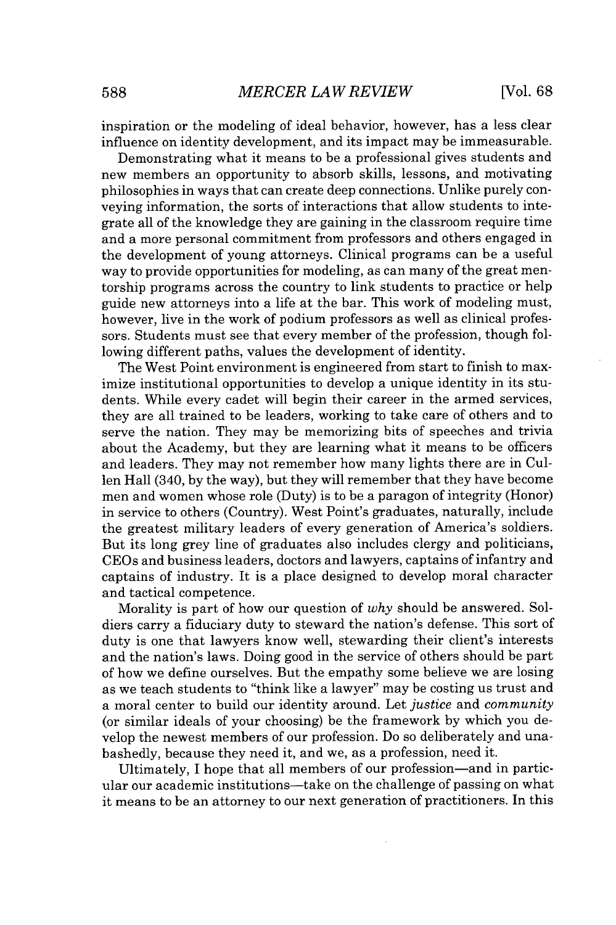inspiration or the modeling of ideal behavior, however, has a less clear influence on identity development, and its impact may be immeasurable.

Demonstrating what it means to be a professional gives students and new members an opportunity to absorb skills, lessons, and motivating philosophies in ways that can create deep connections. Unlike purely conveying information, the sorts of interactions that allow students to integrate all of the knowledge they are gaining in the classroom require time and a more personal commitment from professors and others engaged in the development of young attorneys. Clinical programs can be a useful way to provide opportunities for modeling, as can many of the great mentorship programs across the country to link students to practice or help guide new attorneys into a life at the bar. This work of modeling must, however, live in the work of podium professors as well as clinical professors. Students must see that every member of the profession, though following different paths, values the development of identity.

The West Point environment is engineered from start to finish to maximize institutional opportunities to develop a unique identity in its students. While every cadet will begin their career in the armed services, they are all trained to be leaders, working to take care of others and to serve the nation. They may be memorizing bits of speeches and trivia about the Academy, but they are learning what it means to be officers and leaders. They may not remember how many lights there are in Cullen Hall (340, **by** the way), but they will remember that they have become men and women whose role (Duty) is to be a paragon of integrity (Honor) in service to others (Country). West Point's graduates, naturally, include the greatest military leaders of every generation of America's soldiers. But its long grey line of graduates also includes clergy and politicians, CEOs and business leaders, doctors and lawyers, captains of infantry and captains of industry. It is a place designed to develop moral character and tactical competence.

Morality is part of how our question of *why* should be answered. Soldiers carry a fiduciary duty to steward the nation's defense. This sort of duty is one that lawyers know well, stewarding their client's interests and the nation's laws. Doing good in the service of others should be part of how we define ourselves. But the empathy some believe we are losing as we teach students to "think like a lawyer" may be costing us trust and a moral center to build our identity around. Let *justice* and *community* (or similar ideals of your choosing) be the framework **by** which you develop the newest members of our profession. Do so deliberately and unabashedly, because they need it, and we, as a profession, need it.

Ultimately, **I** hope that all members of our profession-and in particular our academic institutions-take on the challenge of passing on what it means to be an attorney to our next generation of practitioners. In this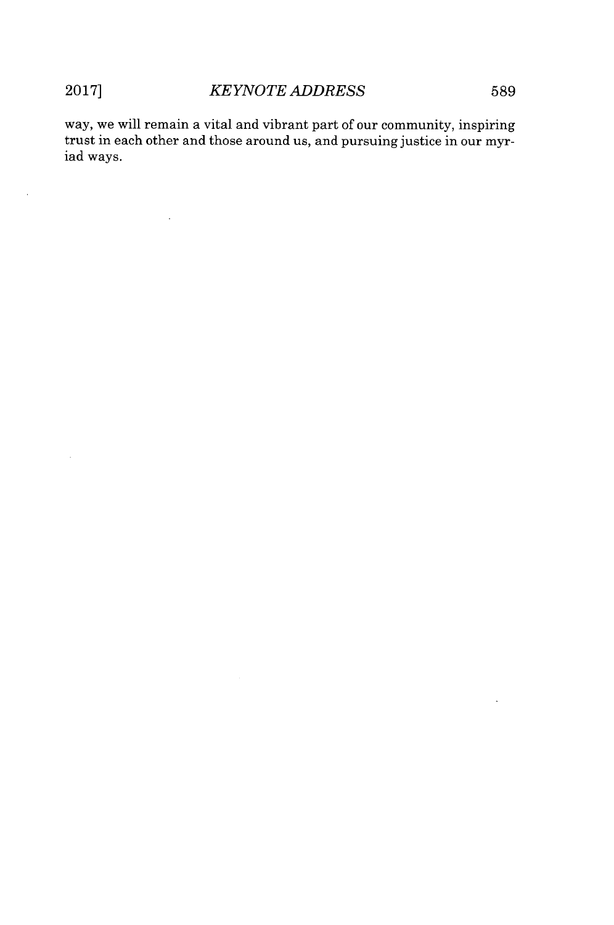$\ddot{\phantom{a}}$ 

way, we will remain a vital and vibrant part of our community, inspiring trust in each other and those around us, and pursuing justice in our myriad ways.